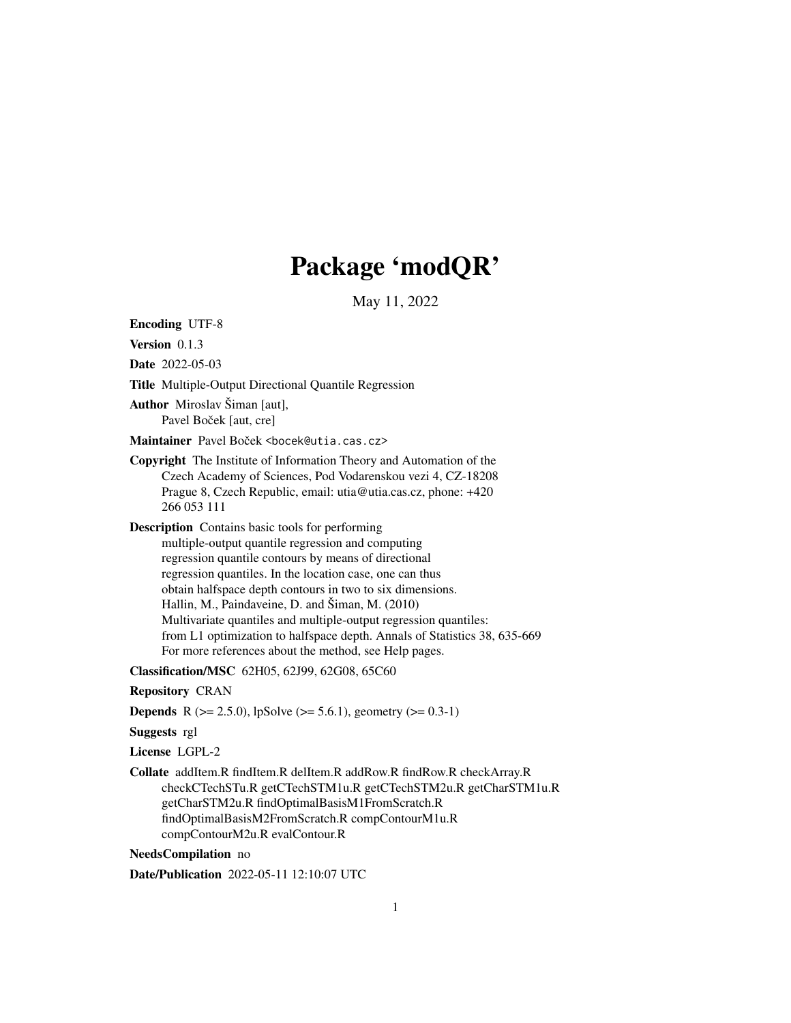## Package 'modQR'

May 11, 2022

Encoding UTF-8

Version 0.1.3

Date 2022-05-03

Title Multiple-Output Directional Quantile Regression

Author Miroslav Šiman [aut], Pavel Boček [aut, cre]

Maintainer Pavel Boček <bocek@utia.cas.cz>

Copyright The Institute of Information Theory and Automation of the Czech Academy of Sciences, Pod Vodarenskou vezi 4, CZ-18208 Prague 8, Czech Republic, email: utia@utia.cas.cz, phone: +420 266 053 111

Description Contains basic tools for performing

multiple-output quantile regression and computing regression quantile contours by means of directional regression quantiles. In the location case, one can thus obtain halfspace depth contours in two to six dimensions. Hallin, M., Paindaveine, D. and Šiman, M. (2010) Multivariate quantiles and multiple-output regression quantiles: from L1 optimization to halfspace depth. Annals of Statistics 38, 635-669 For more references about the method, see Help pages.

Classification/MSC 62H05, 62J99, 62G08, 65C60

Repository CRAN

**Depends** R ( $>= 2.5.0$ ), lpSolve ( $>= 5.6.1$ ), geometry ( $>= 0.3-1$ )

Suggests rgl

License LGPL-2

Collate addItem.R findItem.R delItem.R addRow.R findRow.R checkArray.R checkCTechSTu.R getCTechSTM1u.R getCTechSTM2u.R getCharSTM1u.R getCharSTM2u.R findOptimalBasisM1FromScratch.R findOptimalBasisM2FromScratch.R compContourM1u.R compContourM2u.R evalContour.R

NeedsCompilation no

Date/Publication 2022-05-11 12:10:07 UTC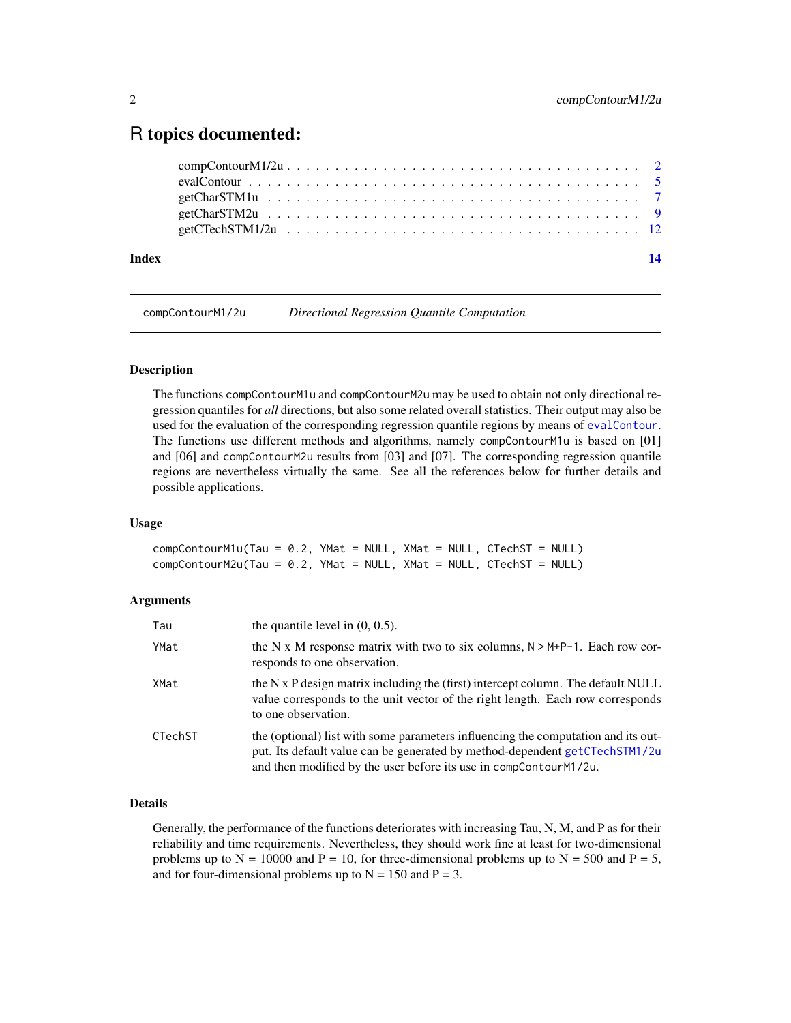### <span id="page-1-0"></span>R topics documented:

| Index | $\overline{14}$ |
|-------|-----------------|
|       |                 |
|       |                 |
|       |                 |
|       |                 |
|       |                 |

<span id="page-1-2"></span>compContourM1/2u *Directional Regression Quantile Computation*

#### <span id="page-1-1"></span>**Description**

The functions compContourM1u and compContourM2u may be used to obtain not only directional regression quantiles for *all* directions, but also some related overall statistics. Their output may also be used for the evaluation of the corresponding regression quantile regions by means of [evalContour](#page-4-1). The functions use different methods and algorithms, namely compContourM1u is based on [01] and [06] and compContourM2u results from [03] and [07]. The corresponding regression quantile regions are nevertheless virtually the same. See all the references below for further details and possible applications.

#### Usage

 $compContourM1u(Tau = 0.2, YMat = NULL, XMat = NULL, CTechST = NULL)$  $compContourM2u(Tau = 0.2, YMat = NULL, XMat = NULL, CTechnST = NULL)$ 

#### Arguments

| Tau     | the quantile level in $(0, 0.5)$ .                                                                                                                                                                                                    |
|---------|---------------------------------------------------------------------------------------------------------------------------------------------------------------------------------------------------------------------------------------|
| YMat    | the N x M response matrix with two to six columns, $N > M+P-1$ . Each row cor-<br>responds to one observation.                                                                                                                        |
| XMat    | the N x P design matrix including the (first) intercept column. The default NULL<br>value corresponds to the unit vector of the right length. Each row corresponds<br>to one observation.                                             |
| CTechST | the (optional) list with some parameters influencing the computation and its out-<br>put. Its default value can be generated by method-dependent getCTechSTM1/2u<br>and then modified by the user before its use in compContourM1/2u. |

#### Details

Generally, the performance of the functions deteriorates with increasing Tau, N, M, and P as for their reliability and time requirements. Nevertheless, they should work fine at least for two-dimensional problems up to  $N = 10000$  and  $P = 10$ , for three-dimensional problems up to  $N = 500$  and  $P = 5$ , and for four-dimensional problems up to  $N = 150$  and  $P = 3$ .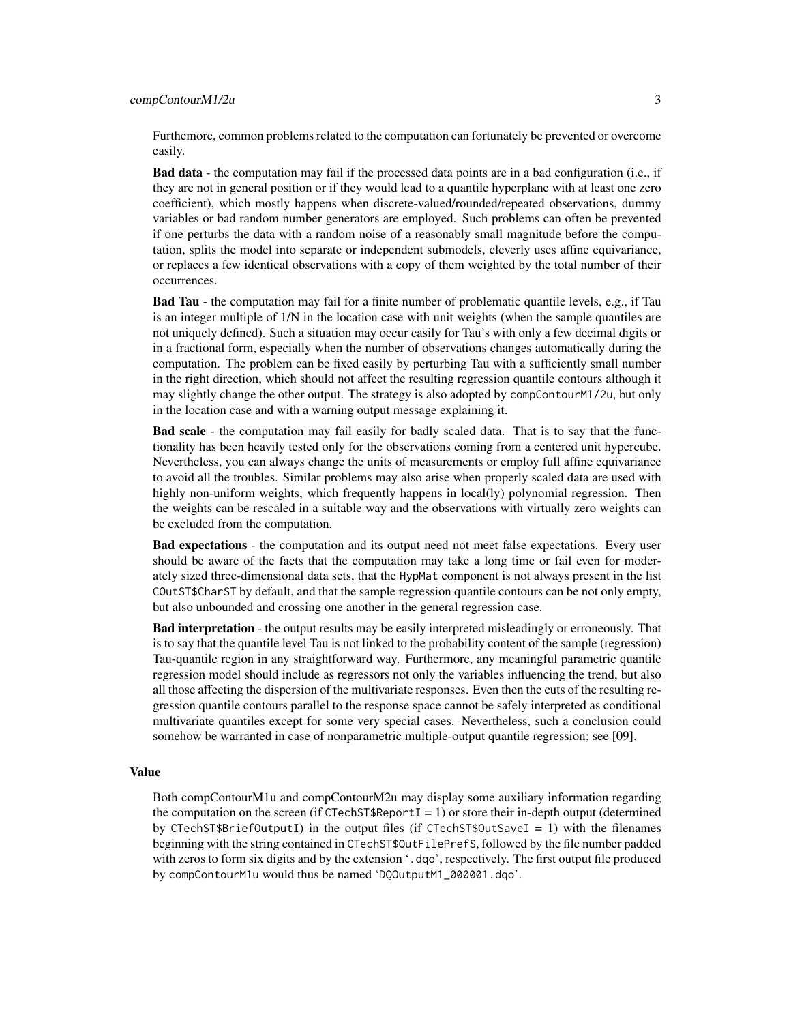#### compContourM1/2u 3

Furthemore, common problems related to the computation can fortunately be prevented or overcome easily.

**Bad data** - the computation may fail if the processed data points are in a bad configuration (i.e., if they are not in general position or if they would lead to a quantile hyperplane with at least one zero coefficient), which mostly happens when discrete-valued/rounded/repeated observations, dummy variables or bad random number generators are employed. Such problems can often be prevented if one perturbs the data with a random noise of a reasonably small magnitude before the computation, splits the model into separate or independent submodels, cleverly uses affine equivariance, or replaces a few identical observations with a copy of them weighted by the total number of their occurrences.

Bad Tau - the computation may fail for a finite number of problematic quantile levels, e.g., if Tau is an integer multiple of 1/N in the location case with unit weights (when the sample quantiles are not uniquely defined). Such a situation may occur easily for Tau's with only a few decimal digits or in a fractional form, especially when the number of observations changes automatically during the computation. The problem can be fixed easily by perturbing Tau with a sufficiently small number in the right direction, which should not affect the resulting regression quantile contours although it may slightly change the other output. The strategy is also adopted by compContourM1/2u, but only in the location case and with a warning output message explaining it.

Bad scale - the computation may fail easily for badly scaled data. That is to say that the functionality has been heavily tested only for the observations coming from a centered unit hypercube. Nevertheless, you can always change the units of measurements or employ full affine equivariance to avoid all the troubles. Similar problems may also arise when properly scaled data are used with highly non-uniform weights, which frequently happens in local(ly) polynomial regression. Then the weights can be rescaled in a suitable way and the observations with virtually zero weights can be excluded from the computation.

Bad expectations - the computation and its output need not meet false expectations. Every user should be aware of the facts that the computation may take a long time or fail even for moderately sized three-dimensional data sets, that the HypMat component is not always present in the list COutST\$CharST by default, and that the sample regression quantile contours can be not only empty, but also unbounded and crossing one another in the general regression case.

Bad interpretation - the output results may be easily interpreted misleadingly or erroneously. That is to say that the quantile level Tau is not linked to the probability content of the sample (regression) Tau-quantile region in any straightforward way. Furthermore, any meaningful parametric quantile regression model should include as regressors not only the variables influencing the trend, but also all those affecting the dispersion of the multivariate responses. Even then the cuts of the resulting regression quantile contours parallel to the response space cannot be safely interpreted as conditional multivariate quantiles except for some very special cases. Nevertheless, such a conclusion could somehow be warranted in case of nonparametric multiple-output quantile regression; see [09].

#### Value

Both compContourM1u and compContourM2u may display some auxiliary information regarding the computation on the screen (if CTechST\$Report  $I = 1$ ) or store their in-depth output (determined by CTechST\$BriefOutputI) in the output files (if CTechST\$OutSaveI = 1) with the filenames beginning with the string contained in CTechST\$OutFilePrefS, followed by the file number padded with zeros to form six digits and by the extension '.dqo', respectively. The first output file produced by compContourM1u would thus be named 'DQOutputM1\_000001.dqo'.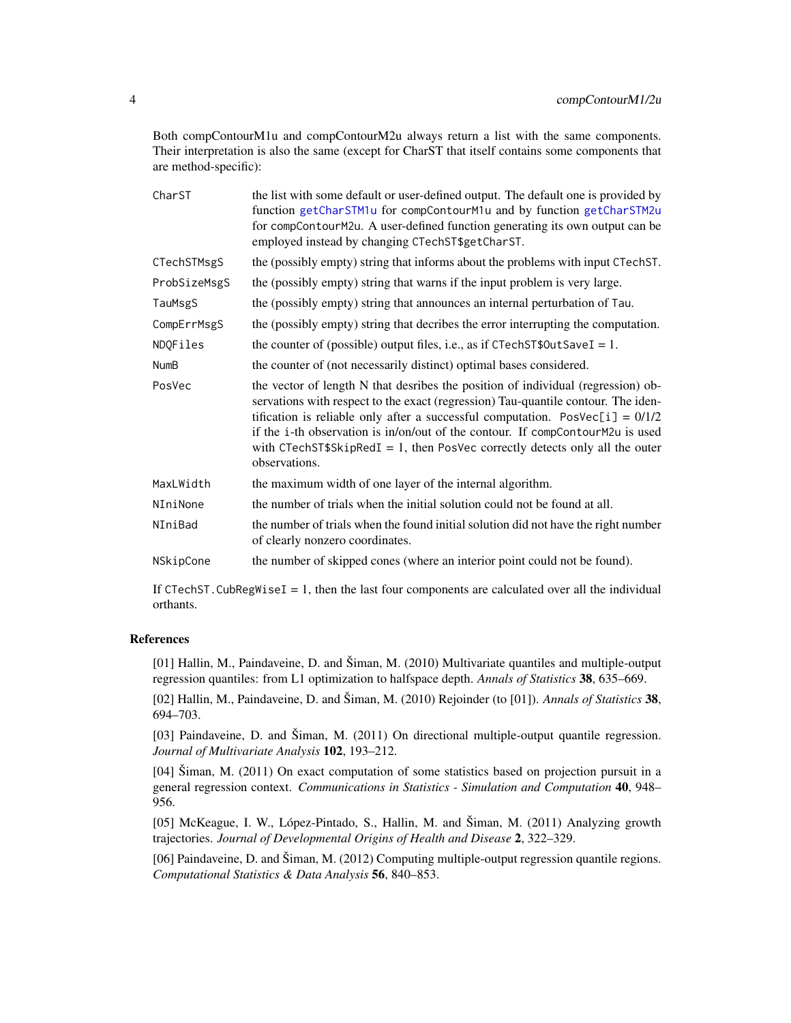<span id="page-3-0"></span>Both compContourM1u and compContourM2u always return a list with the same components. Their interpretation is also the same (except for CharST that itself contains some components that are method-specific):

| CharST       | the list with some default or user-defined output. The default one is provided by<br>function getCharSTM1u for compContourM1u and by function getCharSTM2u<br>for compContourM2u. A user-defined function generating its own output can be<br>employed instead by changing CTechST\$getCharST.                                                                                                                                               |
|--------------|----------------------------------------------------------------------------------------------------------------------------------------------------------------------------------------------------------------------------------------------------------------------------------------------------------------------------------------------------------------------------------------------------------------------------------------------|
| CTechSTMsgS  | the (possibly empty) string that informs about the problems with input CTechST.                                                                                                                                                                                                                                                                                                                                                              |
| ProbSizeMsgS | the (possibly empty) string that warns if the input problem is very large.                                                                                                                                                                                                                                                                                                                                                                   |
| TauMsgS      | the (possibly empty) string that announces an internal perturbation of Tau.                                                                                                                                                                                                                                                                                                                                                                  |
| CompErrMsgS  | the (possibly empty) string that decribes the error interrupting the computation.                                                                                                                                                                                                                                                                                                                                                            |
| NDQFiles     | the counter of (possible) output files, i.e., as if $CTechST$0utSaveI = 1$ .                                                                                                                                                                                                                                                                                                                                                                 |
| <b>NumB</b>  | the counter of (not necessarily distinct) optimal bases considered.                                                                                                                                                                                                                                                                                                                                                                          |
| PosVec       | the vector of length N that desribes the position of individual (regression) ob-<br>servations with respect to the exact (regression) Tau-quantile contour. The iden-<br>tification is reliable only after a successful computation. Pos $Vec[i] = 0/1/2$<br>if the i-th observation is in/on/out of the contour. If compContourM2u is used<br>with CTechST\$SkipRedI = 1, then PosVec correctly detects only all the outer<br>observations. |
| MaxLWidth    | the maximum width of one layer of the internal algorithm.                                                                                                                                                                                                                                                                                                                                                                                    |
| NIniNone     | the number of trials when the initial solution could not be found at all.                                                                                                                                                                                                                                                                                                                                                                    |
| NIniBad      | the number of trials when the found initial solution did not have the right number<br>of clearly nonzero coordinates.                                                                                                                                                                                                                                                                                                                        |
| NSkipCone    | the number of skipped cones (where an interior point could not be found).                                                                                                                                                                                                                                                                                                                                                                    |
|              |                                                                                                                                                                                                                                                                                                                                                                                                                                              |

If CTechST.CubRegWiseI = 1, then the last four components are calculated over all the individual orthants.

#### References

[01] Hallin, M., Paindaveine, D. and Šiman, M. (2010) Multivariate quantiles and multiple-output regression quantiles: from L1 optimization to halfspace depth. *Annals of Statistics* 38, 635–669.

[02] Hallin, M., Paindaveine, D. and Šiman, M. (2010) Rejoinder (to [01]). *Annals of Statistics* 38, 694–703.

[03] Paindaveine, D. and Šiman, M. (2011) On directional multiple-output quantile regression. *Journal of Multivariate Analysis* 102, 193–212.

[04] Šiman, M. (2011) On exact computation of some statistics based on projection pursuit in a general regression context. *Communications in Statistics - Simulation and Computation* 40, 948– 956.

[05] McKeague, I. W., López-Pintado, S., Hallin, M. and Šiman, M. (2011) Analyzing growth trajectories. *Journal of Developmental Origins of Health and Disease* 2, 322–329.

[06] Paindaveine, D. and Šiman, M. (2012) Computing multiple-output regression quantile regions. *Computational Statistics & Data Analysis* 56, 840–853.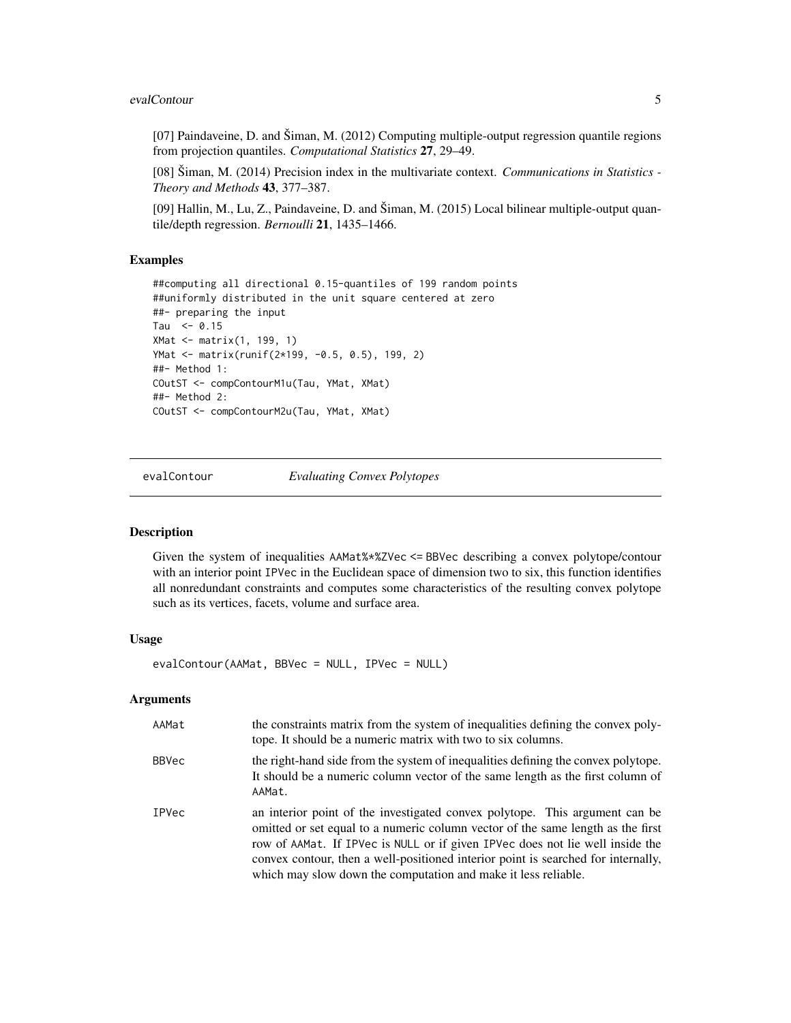#### <span id="page-4-0"></span>evalContour 5

[07] Paindaveine, D. and Šiman, M. (2012) Computing multiple-output regression quantile regions from projection quantiles. *Computational Statistics* 27, 29–49.

[08] Šiman, M. (2014) Precision index in the multivariate context. *Communications in Statistics - Theory and Methods* 43, 377–387.

[09] Hallin, M., Lu, Z., Paindaveine, D. and Šiman, M. (2015) Local bilinear multiple-output quantile/depth regression. *Bernoulli* 21, 1435–1466.

#### Examples

```
##computing all directional 0.15-quantiles of 199 random points
##uniformly distributed in the unit square centered at zero
##- preparing the input
Tau <-0.15XMat <- matrix(1, 199, 1)
YMat <- matrix(runif(2*199, -0.5, 0.5), 199, 2)
##- Method 1:
COutST <- compContourM1u(Tau, YMat, XMat)
##- Method 2:
COutST <- compContourM2u(Tau, YMat, XMat)
```
<span id="page-4-1"></span>evalContour *Evaluating Convex Polytopes*

#### Description

Given the system of inequalities AAMat%\*%ZVec <= BBVec describing a convex polytope/contour with an interior point IPVec in the Euclidean space of dimension two to six, this function identifies all nonredundant constraints and computes some characteristics of the resulting convex polytope such as its vertices, facets, volume and surface area.

#### Usage

evalContour(AAMat, BBVec = NULL, IPVec = NULL)

#### Arguments

| AAMat        | the constraints matrix from the system of inequalities defining the convex poly-<br>tope. It should be a numeric matrix with two to six columns.                                                                                                                                                                                                                                                       |
|--------------|--------------------------------------------------------------------------------------------------------------------------------------------------------------------------------------------------------------------------------------------------------------------------------------------------------------------------------------------------------------------------------------------------------|
| <b>BBVec</b> | the right-hand side from the system of inequalities defining the convex polytope.<br>It should be a numeric column vector of the same length as the first column of<br>AAMat.                                                                                                                                                                                                                          |
| <b>IPVec</b> | an interior point of the investigated convex polytope. This argument can be<br>omitted or set equal to a numeric column vector of the same length as the first<br>row of AAMat. If IPVec is NULL or if given IPVec does not lie well inside the<br>convex contour, then a well-positioned interior point is searched for internally,<br>which may slow down the computation and make it less reliable. |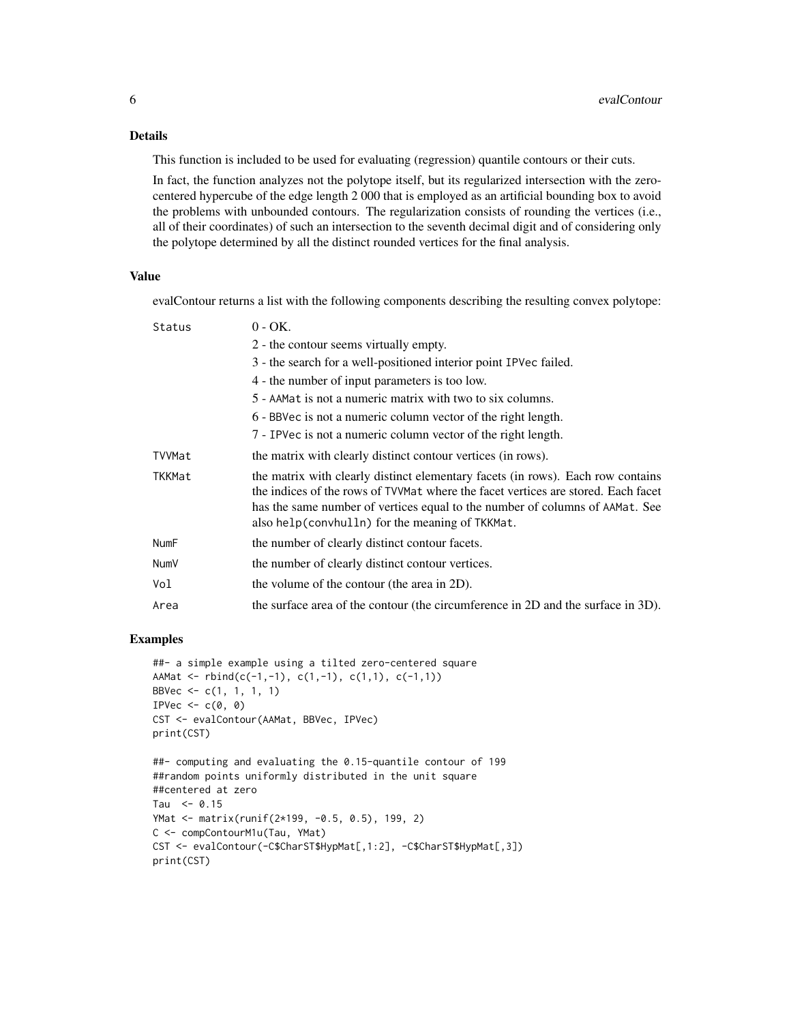#### Details

This function is included to be used for evaluating (regression) quantile contours or their cuts.

In fact, the function analyzes not the polytope itself, but its regularized intersection with the zerocentered hypercube of the edge length 2 000 that is employed as an artificial bounding box to avoid the problems with unbounded contours. The regularization consists of rounding the vertices (i.e., all of their coordinates) of such an intersection to the seventh decimal digit and of considering only the polytope determined by all the distinct rounded vertices for the final analysis.

#### Value

evalContour returns a list with the following components describing the resulting convex polytope:

| Status      | $0 - OK.$                                                                                                                                                                                                                                                                                               |
|-------------|---------------------------------------------------------------------------------------------------------------------------------------------------------------------------------------------------------------------------------------------------------------------------------------------------------|
|             | 2 - the contour seems virtually empty.                                                                                                                                                                                                                                                                  |
|             | 3 - the search for a well-positioned interior point IPVec failed.                                                                                                                                                                                                                                       |
|             | 4 - the number of input parameters is too low.                                                                                                                                                                                                                                                          |
|             | 5 - AAMat is not a numeric matrix with two to six columns.                                                                                                                                                                                                                                              |
|             | 6 - BBVec is not a numeric column vector of the right length.                                                                                                                                                                                                                                           |
|             | 7 - IPVec is not a numeric column vector of the right length.                                                                                                                                                                                                                                           |
| TVVMat      | the matrix with clearly distinct contour vertices (in rows).                                                                                                                                                                                                                                            |
| TKKMat      | the matrix with clearly distinct elementary facets (in rows). Each row contains<br>the indices of the rows of TVVMat where the facet vertices are stored. Each facet<br>has the same number of vertices equal to the number of columns of AAMat. See<br>also help(convhulln) for the meaning of TKKMat. |
| <b>NumF</b> | the number of clearly distinct contour facets.                                                                                                                                                                                                                                                          |
| <b>NumV</b> | the number of clearly distinct contour vertices.                                                                                                                                                                                                                                                        |
| Vol         | the volume of the contour (the area in 2D).                                                                                                                                                                                                                                                             |
| Area        | the surface area of the contour (the circumference in 2D and the surface in 3D).                                                                                                                                                                                                                        |
|             |                                                                                                                                                                                                                                                                                                         |

#### Examples

```
##- a simple example using a tilted zero-centered square
AAMat <- rbind(c(-1,-1), c(1,-1), c(1,1), c(-1,1))BBVec \leq -c(1, 1, 1, 1)IPVec \leq c(0, 0)
CST <- evalContour(AAMat, BBVec, IPVec)
print(CST)
##- computing and evaluating the 0.15-quantile contour of 199
##random points uniformly distributed in the unit square
##centered at zero
Tau <-0.15YMat <- matrix(runif(2*199, -0.5, 0.5), 199, 2)
C <- compContourM1u(Tau, YMat)
CST <- evalContour(-C$CharST$HypMat[,1:2], -C$CharST$HypMat[,3])
print(CST)
```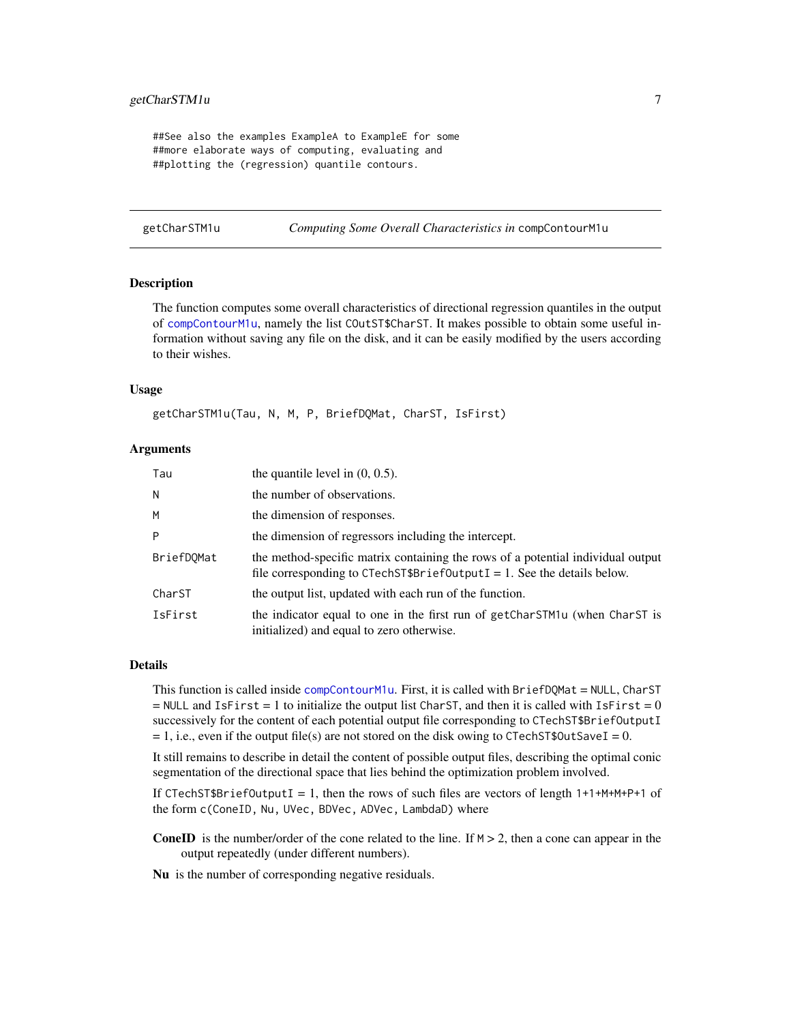#### <span id="page-6-0"></span>getCharSTM1u 7

##See also the examples ExampleA to ExampleE for some ##more elaborate ways of computing, evaluating and ##plotting the (regression) quantile contours.

<span id="page-6-1"></span>getCharSTM1u *Computing Some Overall Characteristics in* compContourM1u

#### **Description**

The function computes some overall characteristics of directional regression quantiles in the output of [compContourM1u](#page-1-1), namely the list COutST\$CharST. It makes possible to obtain some useful information without saving any file on the disk, and it can be easily modified by the users according to their wishes.

#### Usage

getCharSTM1u(Tau, N, M, P, BriefDQMat, CharST, IsFirst)

#### Arguments

| Tau        | the quantile level in $(0, 0.5)$ .                                                                                                                         |
|------------|------------------------------------------------------------------------------------------------------------------------------------------------------------|
| N          | the number of observations.                                                                                                                                |
| M          | the dimension of responses.                                                                                                                                |
| P          | the dimension of regressors including the intercept.                                                                                                       |
| BriefDOMat | the method-specific matrix containing the rows of a potential individual output<br>file corresponding to CTechST\$BriefOutputI = 1. See the details below. |
| CharST     | the output list, updated with each run of the function.                                                                                                    |
| IsFirst    | the indicator equal to one in the first run of getCharSTM1u (when CharST is<br>initialized) and equal to zero otherwise.                                   |

#### Details

This function is called inside [compContourM1u](#page-1-1). First, it is called with BriefDQMat = NULL, CharST  $=$  NULL and IsFirst  $= 1$  to initialize the output list CharST, and then it is called with IsFirst  $= 0$ successively for the content of each potential output file corresponding to CTechST\$BriefOutputI  $= 1$ , i.e., even if the output file(s) are not stored on the disk owing to CTechST\$OutSaveI = 0.

It still remains to describe in detail the content of possible output files, describing the optimal conic segmentation of the directional space that lies behind the optimization problem involved.

If CTechST\$BriefOutputI = 1, then the rows of such files are vectors of length  $1+1+M+M+P+1$  of the form c(ConeID, Nu, UVec, BDVec, ADVec, LambdaD) where

**ConeID** is the number/order of the cone related to the line. If  $M > 2$ , then a cone can appear in the output repeatedly (under different numbers).

Nu is the number of corresponding negative residuals.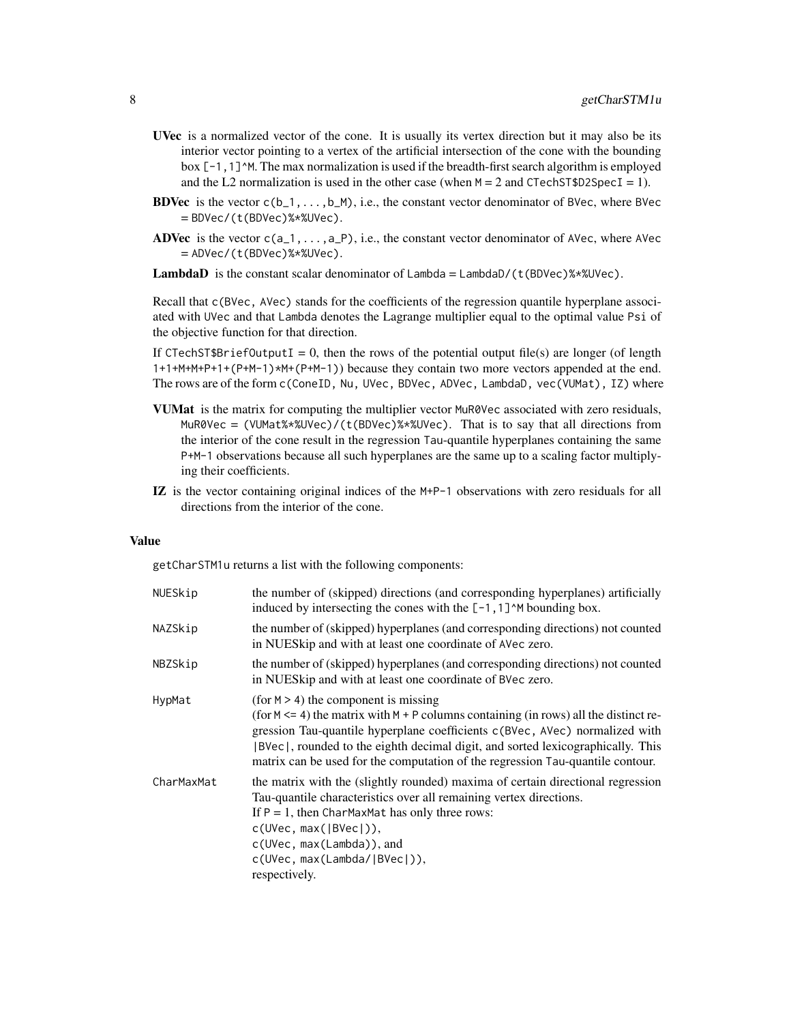- UVec is a normalized vector of the cone. It is usually its vertex direction but it may also be its interior vector pointing to a vertex of the artificial intersection of the cone with the bounding box  $[-1,1]$ <sup> $\wedge$ M. The max normalization is used if the breadth-first search algorithm is employed</sup> and the L2 normalization is used in the other case (when  $M = 2$  and CTechST\$D2SpecI = 1).
- **BDVec** is the vector  $c(b_1, \ldots, b_M)$ , i.e., the constant vector denominator of BVec, where BVec = BDVec/(t(BDVec)%\*%UVec).
- **ADVec** is the vector  $c(a_1, \ldots, a_p)$ , i.e., the constant vector denominator of AVec, where AVec = ADVec/(t(BDVec)%\*%UVec).

**LambdaD** is the constant scalar denominator of Lambda =  $\text{Lambda}$  (t(BDVec)%\*%UVec).

Recall that c(BVec, AVec) stands for the coefficients of the regression quantile hyperplane associated with UVec and that Lambda denotes the Lagrange multiplier equal to the optimal value Psi of the objective function for that direction.

If CTechST\$BriefOutputI = 0, then the rows of the potential output file(s) are longer (of length 1+1+M+M+P+1+(P+M-1)\*M+(P+M-1)) because they contain two more vectors appended at the end. The rows are of the form c(ConeID, Nu, UVec, BDVec, ADVec, LambdaD, vec(VUMat), IZ) where

- VUMat is the matrix for computing the multiplier vector MuR0Vec associated with zero residuals,  $MuR0Vec = (VUMat$ //www.tthermumburg/2009/2008/2009. That is to say that all directions from the interior of the cone result in the regression Tau-quantile hyperplanes containing the same P+M-1 observations because all such hyperplanes are the same up to a scaling factor multiplying their coefficients.
- IZ is the vector containing original indices of the M+P-1 observations with zero residuals for all directions from the interior of the cone.

#### Value

getCharSTM1u returns a list with the following components:

| NUESkip    | the number of (skipped) directions (and corresponding hyperplanes) artificially<br>induced by intersecting the cones with the $[-1,1]$ <sup><math>\wedge</math>M</sup> bounding box.                                                                                                                                                                                                     |
|------------|------------------------------------------------------------------------------------------------------------------------------------------------------------------------------------------------------------------------------------------------------------------------------------------------------------------------------------------------------------------------------------------|
| NAZSkip    | the number of (skipped) hyperplanes (and corresponding directions) not counted<br>in NUES kip and with at least one coordinate of AVec zero.                                                                                                                                                                                                                                             |
| NBZSkip    | the number of (skipped) hyperplanes (and corresponding directions) not counted<br>in NUES kip and with at least one coordinate of BVec zero.                                                                                                                                                                                                                                             |
| HypMat     | (for $M > 4$ ) the component is missing<br>(for $M \le 4$ ) the matrix with $M + P$ columns containing (in rows) all the distinct re-<br>gression Tau-quantile hyperplane coefficients c(BVec, AVec) normalized with<br>BVec), rounded to the eighth decimal digit, and sorted lexicographically. This<br>matrix can be used for the computation of the regression Tau-quantile contour. |
| CharMaxMat | the matrix with the (slightly rounded) maxima of certain directional regression<br>Tau-quantile characteristics over all remaining vertex directions.<br>If $P = 1$ , then CharMaxMat has only three rows:<br>c(UVec, max( BVec )),<br>c(UVec, max(Lambda)), and<br>c(UVec, max(Lambda/ BVec )),<br>respectively.                                                                        |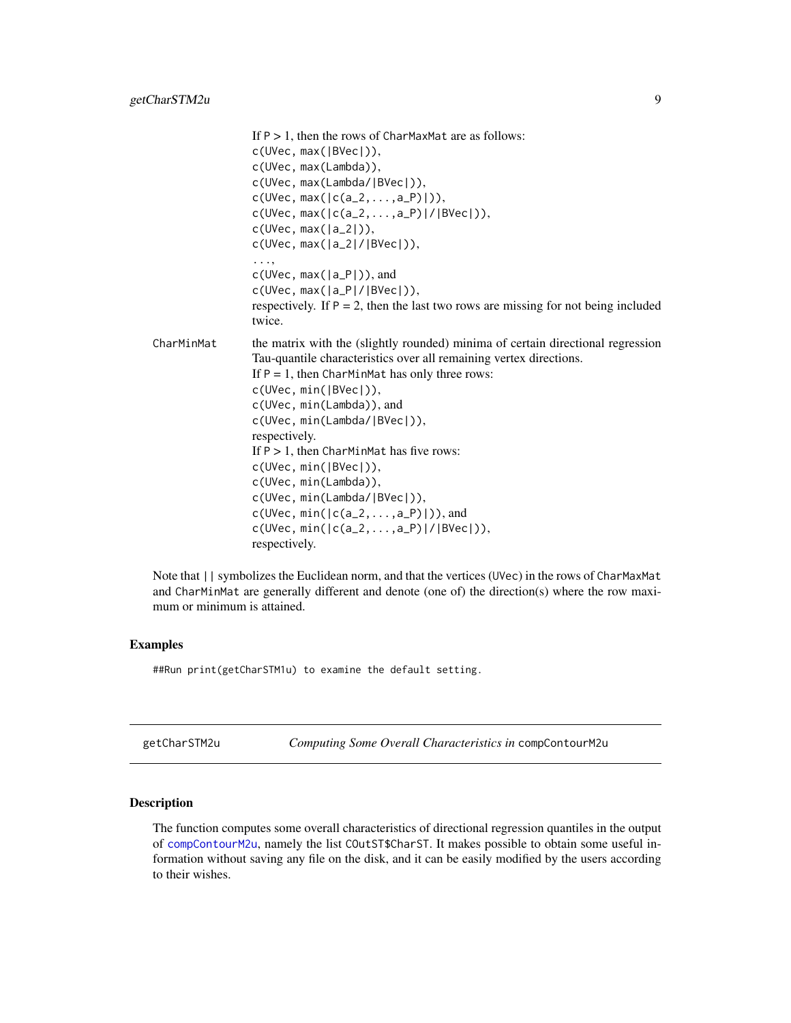<span id="page-8-0"></span>

|            | If $P > 1$ , then the rows of CharMaxMat are as follows:<br>c(UVec, max( BVec )),<br>c(UVec, max(Lambda)),<br>c(UVec, max(Lambda/ BVec )),<br>$c(UVec, max( c(a_2, , a_P) )),$<br>$c(UVec, max( c(a_2, , a_P) / BVec )),$                                                                                                                                                                                                                                                                                                                              |
|------------|--------------------------------------------------------------------------------------------------------------------------------------------------------------------------------------------------------------------------------------------------------------------------------------------------------------------------------------------------------------------------------------------------------------------------------------------------------------------------------------------------------------------------------------------------------|
|            | $c(UVec, max( a_2 )),$<br>$c(UVec, max( a_2 / BVec )),$                                                                                                                                                                                                                                                                                                                                                                                                                                                                                                |
|            | . ,<br>$c(UVec, max( a_P ))$ , and<br>$c(UVec, max( a_P / BVec )),$<br>respectively. If $P = 2$ , then the last two rows are missing for not being included<br>twice.                                                                                                                                                                                                                                                                                                                                                                                  |
| CharMinMat | the matrix with the (slightly rounded) minima of certain directional regression<br>Tau-quantile characteristics over all remaining vertex directions.<br>If $P = 1$ , then CharMinMat has only three rows:<br>c(UVec, min( BVec )),<br>c(UVec, min(Lambda)), and<br>c(UVec, min(Lambda/ BVec )),<br>respectively.<br>If $P > 1$ , then CharMinMat has five rows:<br>c(UVec, min( BVec )),<br>c(UVec, min(Lambda)),<br>c(UVec, min(Lambda/ BVec )),<br>$c(UVec, min( c(a_2, , a_P) )),$ and<br>$c(UVec, min( c(a_2, , a_P) / BVec )),$<br>respectively. |

Note that  $||$  symbolizes the Euclidean norm, and that the vertices (UVec) in the rows of CharMaxMat and CharMinMat are generally different and denote (one of) the direction(s) where the row maximum or minimum is attained.

#### Examples

##Run print(getCharSTM1u) to examine the default setting.

<span id="page-8-1"></span>getCharSTM2u *Computing Some Overall Characteristics in* compContourM2u

#### Description

The function computes some overall characteristics of directional regression quantiles in the output of [compContourM2u](#page-1-1), namely the list COutST\$CharST. It makes possible to obtain some useful information without saving any file on the disk, and it can be easily modified by the users according to their wishes.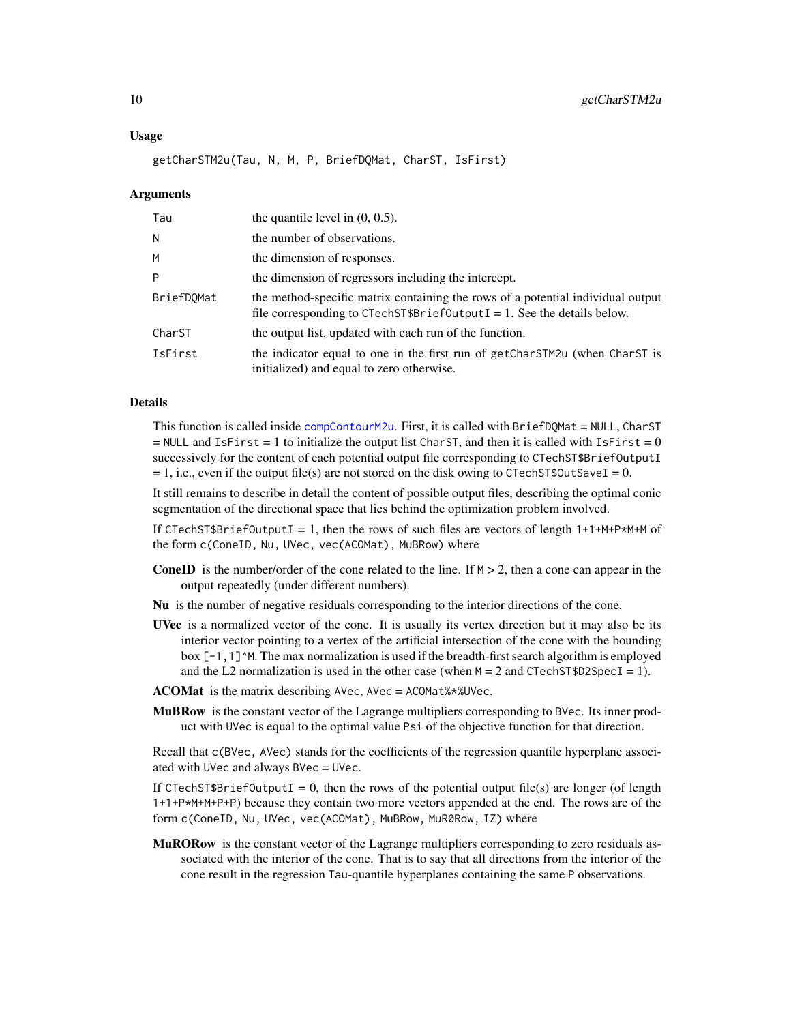#### <span id="page-9-0"></span>Usage

getCharSTM2u(Tau, N, M, P, BriefDQMat, CharST, IsFirst)

#### **Arguments**

| Tau        | the quantile level in $(0, 0.5)$ .                                                                                                                         |
|------------|------------------------------------------------------------------------------------------------------------------------------------------------------------|
| N          | the number of observations.                                                                                                                                |
| M          | the dimension of responses.                                                                                                                                |
| P          | the dimension of regressors including the intercept.                                                                                                       |
| BriefDOMat | the method-specific matrix containing the rows of a potential individual output<br>file corresponding to CTechST\$BriefOutputI = 1. See the details below. |
| CharST     | the output list, updated with each run of the function.                                                                                                    |
| IsFirst    | the indicator equal to one in the first run of getCharSTM2u (when CharST is<br>initialized) and equal to zero otherwise.                                   |

#### Details

This function is called inside [compContourM2u](#page-1-1). First, it is called with BriefDQMat = NULL, CharST  $=$  NULL and IsFirst  $= 1$  to initialize the output list CharST, and then it is called with IsFirst  $= 0$ successively for the content of each potential output file corresponding to CTechST\$BriefOutputI  $= 1$ , i.e., even if the output file(s) are not stored on the disk owing to CTechST\$OutSaveI = 0.

It still remains to describe in detail the content of possible output files, describing the optimal conic segmentation of the directional space that lies behind the optimization problem involved.

If CTechST\$BriefOutputI = 1, then the rows of such files are vectors of length  $1+1+M+P*M+M$  of the form c(ConeID, Nu, UVec, vec(ACOMat), MuBRow) where

- **ConeID** is the number/order of the cone related to the line. If  $M > 2$ , then a cone can appear in the output repeatedly (under different numbers).
- Nu is the number of negative residuals corresponding to the interior directions of the cone.
- UVec is a normalized vector of the cone. It is usually its vertex direction but it may also be its interior vector pointing to a vertex of the artificial intersection of the cone with the bounding box  $[-1,1]^M$ . The max normalization is used if the breadth-first search algorithm is employed and the L2 normalization is used in the other case (when  $M = 2$  and CTechST\$D2SpecI = 1).
- $ACOMat$  is the matrix describing AVec, AVec = ACOMat% $*$ %UVec.
- **MuBRow** is the constant vector of the Lagrange multipliers corresponding to BVec. Its inner product with UVec is equal to the optimal value Psi of the objective function for that direction.

Recall that c(BVec, AVec) stands for the coefficients of the regression quantile hyperplane associated with UVec and always BVec = UVec.

If CTechST\$BriefOutputI = 0, then the rows of the potential output file(s) are longer (of length 1+1+P\*M+M+P+P) because they contain two more vectors appended at the end. The rows are of the form c(ConeID, Nu, UVec, vec(ACOMat), MuBRow, MuR0Row, IZ) where

MuRORow is the constant vector of the Lagrange multipliers corresponding to zero residuals associated with the interior of the cone. That is to say that all directions from the interior of the cone result in the regression Tau-quantile hyperplanes containing the same P observations.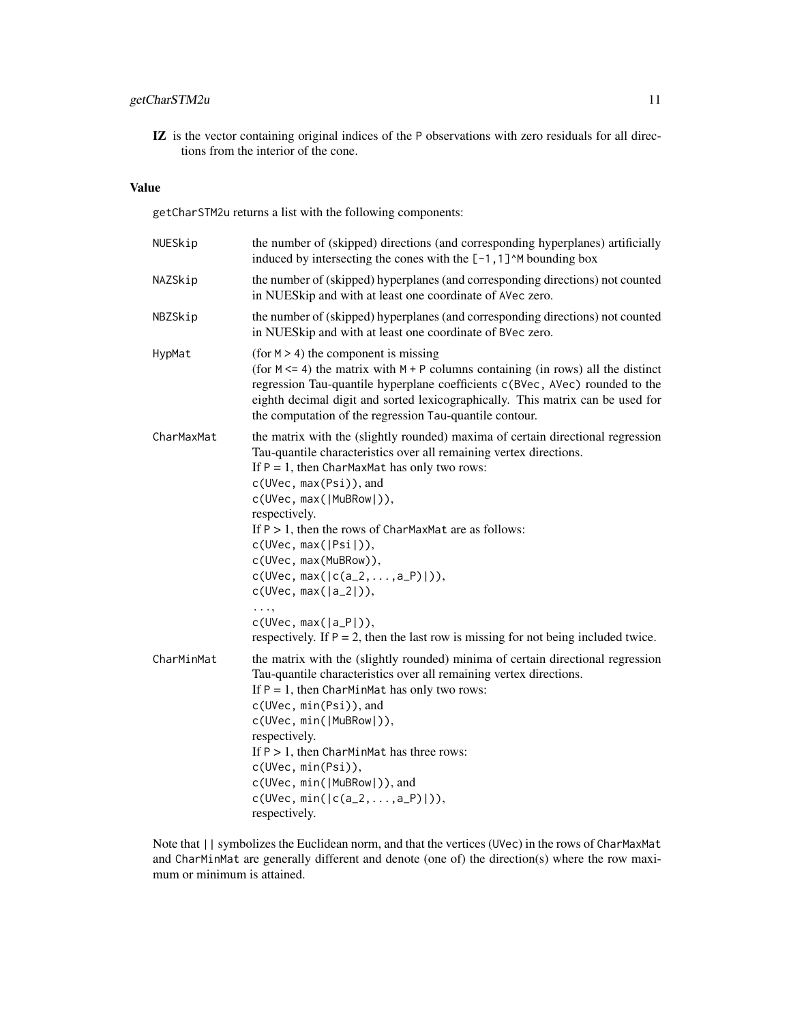#### getCharSTM2u 11

IZ is the vector containing original indices of the P observations with zero residuals for all directions from the interior of the cone.

#### Value

getCharSTM2u returns a list with the following components:

| NUESkip    | the number of (skipped) directions (and corresponding hyperplanes) artificially<br>induced by intersecting the cones with the $[-1,1]$ <sup><math>\wedge</math>M</sup> bounding box                                                                                                                                                                                                                                                                              |
|------------|------------------------------------------------------------------------------------------------------------------------------------------------------------------------------------------------------------------------------------------------------------------------------------------------------------------------------------------------------------------------------------------------------------------------------------------------------------------|
| NAZSkip    | the number of (skipped) hyperplanes (and corresponding directions) not counted<br>in NUESkip and with at least one coordinate of AVec zero.                                                                                                                                                                                                                                                                                                                      |
| NBZSkip    | the number of (skipped) hyperplanes (and corresponding directions) not counted<br>in NUESkip and with at least one coordinate of BVec zero.                                                                                                                                                                                                                                                                                                                      |
| HypMat     | (for $M > 4$ ) the component is missing<br>(for $M \le 4$ ) the matrix with $M + P$ columns containing (in rows) all the distinct<br>regression Tau-quantile hyperplane coefficients c(BVec, AVec) rounded to the<br>eighth decimal digit and sorted lexicographically. This matrix can be used for<br>the computation of the regression Tau-quantile contour.                                                                                                   |
| CharMaxMat | the matrix with the (slightly rounded) maxima of certain directional regression<br>Tau-quantile characteristics over all remaining vertex directions.<br>If $P = 1$ , then CharMaxMat has only two rows:<br>c(UVec, max(Psi)), and<br>c(UVec, max( MuBRow )),<br>respectively.<br>If $P > 1$ , then the rows of CharMaxMat are as follows:<br>c(UVec, max( Psi )),<br>c(UVec, max(MuBRow)),<br>$c(UVec, max( c(a_2, , a_P) )),$<br>$c(UVec, max( a_2 )),$<br>. , |
|            | $c(UVec, max( a_P )),$<br>respectively. If $P = 2$ , then the last row is missing for not being included twice.                                                                                                                                                                                                                                                                                                                                                  |
| CharMinMat | the matrix with the (slightly rounded) minima of certain directional regression<br>Tau-quantile characteristics over all remaining vertex directions.<br>If $P = 1$ , then CharMinMat has only two rows:<br>c(UVec, min(Psi)), and<br>c(UVec, min( MuBRow )),<br>respectively.<br>If $P > 1$ , then CharMinMat has three rows:<br>c(UVec, min(Psi)),<br>c(UVec, min( MuBRow )), and<br>$c(UVec, min( c(a_2, , a_P) )),$<br>respectively.                         |

Note that || symbolizes the Euclidean norm, and that the vertices (UVec) in the rows of CharMaxMat and CharMinMat are generally different and denote (one of) the direction(s) where the row maximum or minimum is attained.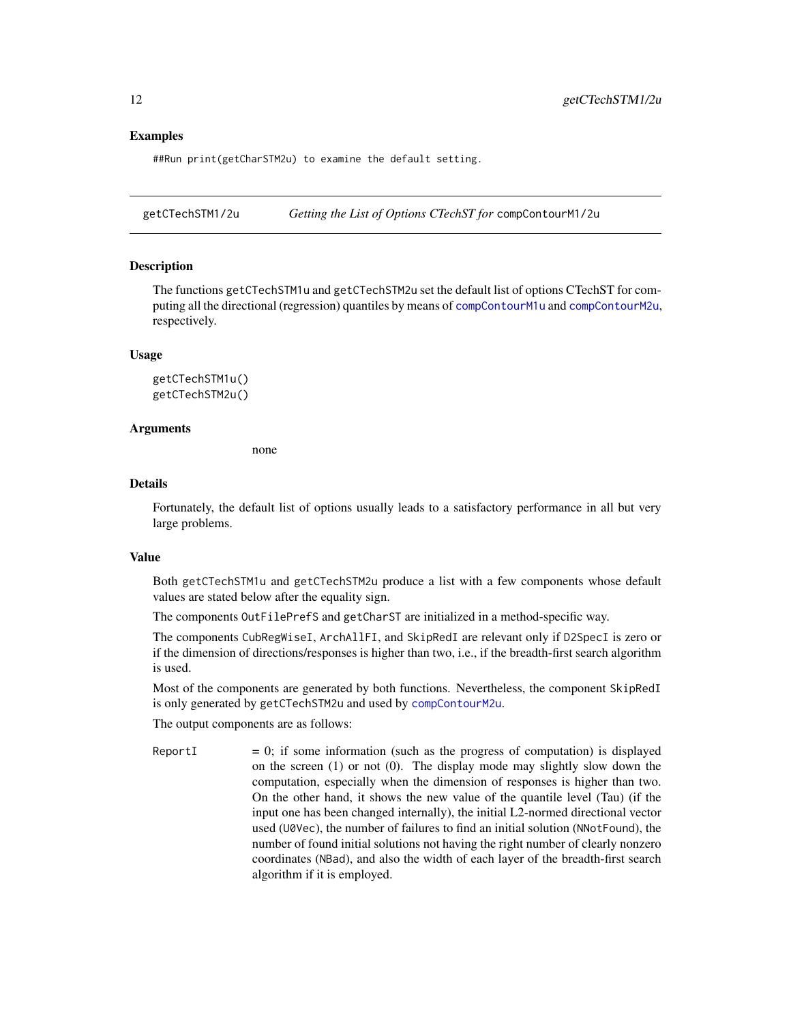#### Examples

##Run print(getCharSTM2u) to examine the default setting.

<span id="page-11-1"></span>getCTechSTM1/2u *Getting the List of Options CTechST for* compContourM1/2u

#### **Description**

The functions getCTechSTM1u and getCTechSTM2u set the default list of options CTechST for computing all the directional (regression) quantiles by means of [compContourM1u](#page-1-1) and [compContourM2u](#page-1-1), respectively.

#### Usage

getCTechSTM1u() getCTechSTM2u()

#### **Arguments**

none

#### Details

Fortunately, the default list of options usually leads to a satisfactory performance in all but very large problems.

#### Value

Both getCTechSTM1u and getCTechSTM2u produce a list with a few components whose default values are stated below after the equality sign.

The components OutFilePrefS and getCharST are initialized in a method-specific way.

The components CubRegWiseI, ArchAllFI, and SkipRedI are relevant only if D2SpecI is zero or if the dimension of directions/responses is higher than two, i.e., if the breadth-first search algorithm is used.

Most of the components are generated by both functions. Nevertheless, the component SkipRedI is only generated by getCTechSTM2u and used by [compContourM2u](#page-1-1).

The output components are as follows:

ReportI  $= 0$ ; if some information (such as the progress of computation) is displayed on the screen (1) or not (0). The display mode may slightly slow down the computation, especially when the dimension of responses is higher than two. On the other hand, it shows the new value of the quantile level (Tau) (if the input one has been changed internally), the initial L2-normed directional vector used (U0Vec), the number of failures to find an initial solution (NNotFound), the number of found initial solutions not having the right number of clearly nonzero coordinates (NBad), and also the width of each layer of the breadth-first search algorithm if it is employed.

<span id="page-11-0"></span>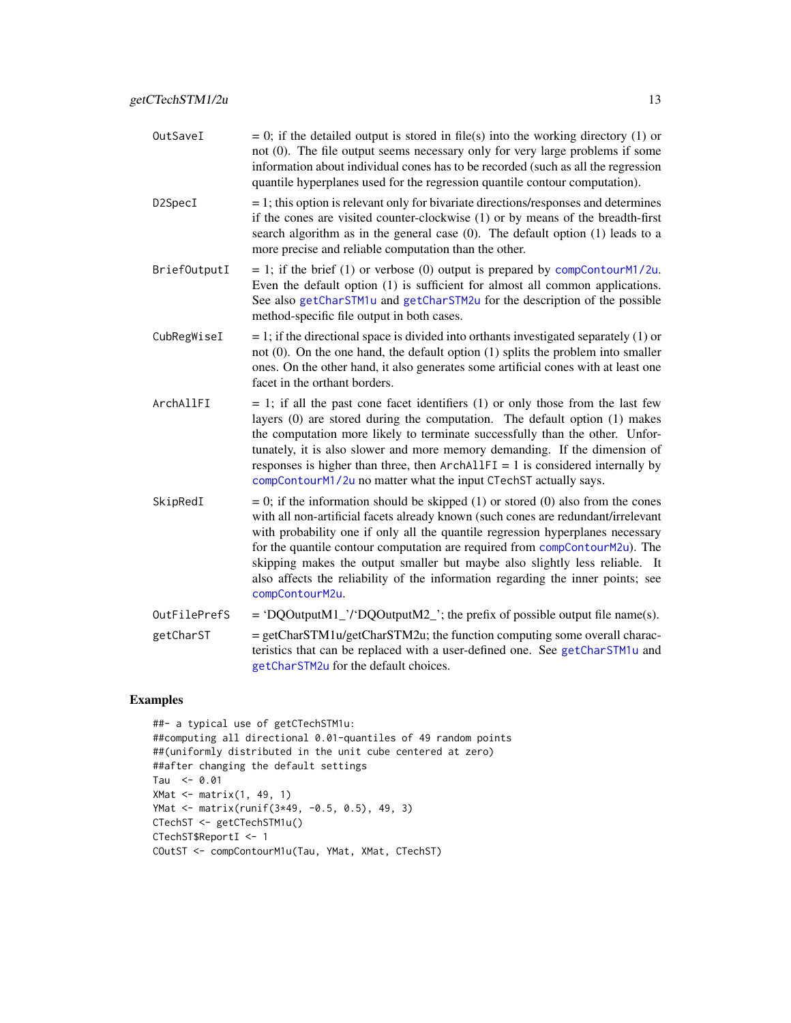<span id="page-12-0"></span>

| OutSaveI     | $= 0$ ; if the detailed output is stored in file(s) into the working directory (1) or<br>not (0). The file output seems necessary only for very large problems if some<br>information about individual cones has to be recorded (such as all the regression<br>quantile hyperplanes used for the regression quantile contour computation).                                                                                                                                                                                    |
|--------------|-------------------------------------------------------------------------------------------------------------------------------------------------------------------------------------------------------------------------------------------------------------------------------------------------------------------------------------------------------------------------------------------------------------------------------------------------------------------------------------------------------------------------------|
| D2SpecI      | $= 1$ ; this option is relevant only for bivariate directions/responses and determines<br>if the cones are visited counter-clockwise (1) or by means of the breadth-first<br>search algorithm as in the general case $(0)$ . The default option $(1)$ leads to a<br>more precise and reliable computation than the other.                                                                                                                                                                                                     |
| BriefOutputI | $= 1$ ; if the brief (1) or verbose (0) output is prepared by compContourM1/2u.<br>Even the default option (1) is sufficient for almost all common applications.<br>See also getCharSTM1u and getCharSTM2u for the description of the possible<br>method-specific file output in both cases.                                                                                                                                                                                                                                  |
| CubRegWiseI  | $= 1$ ; if the directional space is divided into orthants investigated separately (1) or<br>not $(0)$ . On the one hand, the default option $(1)$ splits the problem into smaller<br>ones. On the other hand, it also generates some artificial cones with at least one<br>facet in the orthant borders.                                                                                                                                                                                                                      |
| ArchAllFI    | $= 1$ ; if all the past cone facet identifiers (1) or only those from the last few<br>layers (0) are stored during the computation. The default option (1) makes<br>the computation more likely to terminate successfully than the other. Unfor-<br>tunately, it is also slower and more memory demanding. If the dimension of<br>responses is higher than three, then $ArchAllFI = 1$ is considered internally by<br>compContourM1/2u no matter what the input CTechST actually says.                                        |
| SkipRedI     | $= 0$ ; if the information should be skipped (1) or stored (0) also from the cones<br>with all non-artificial facets already known (such cones are redundant/irrelevant<br>with probability one if only all the quantile regression hyperplanes necessary<br>for the quantile contour computation are required from compContourM2u). The<br>skipping makes the output smaller but maybe also slightly less reliable. It<br>also affects the reliability of the information regarding the inner points; see<br>compContourM2u. |
| OutFilePrefS | = 'DQOutputM1_'/'DQOutputM2_'; the prefix of possible output file name(s).                                                                                                                                                                                                                                                                                                                                                                                                                                                    |

getCharST = getCharSTM1u/getCharSTM2u; the function computing some overall characteristics that can be replaced with a user-defined one. See [getCharSTM1u](#page-6-1) and [getCharSTM2u](#page-8-1) for the default choices.

#### Examples

```
##- a typical use of getCTechSTM1u:
##computing all directional 0.01-quantiles of 49 random points
##(uniformly distributed in the unit cube centered at zero)
##after changing the default settings
Tau <-0.01XMat \leftarrow matrix(1, 49, 1)YMat <- matrix(runif(3*49, -0.5, 0.5), 49, 3)
CTechST <- getCTechSTM1u()
CTechST$ReportI <- 1
COutST <- compContourM1u(Tau, YMat, XMat, CTechST)
```